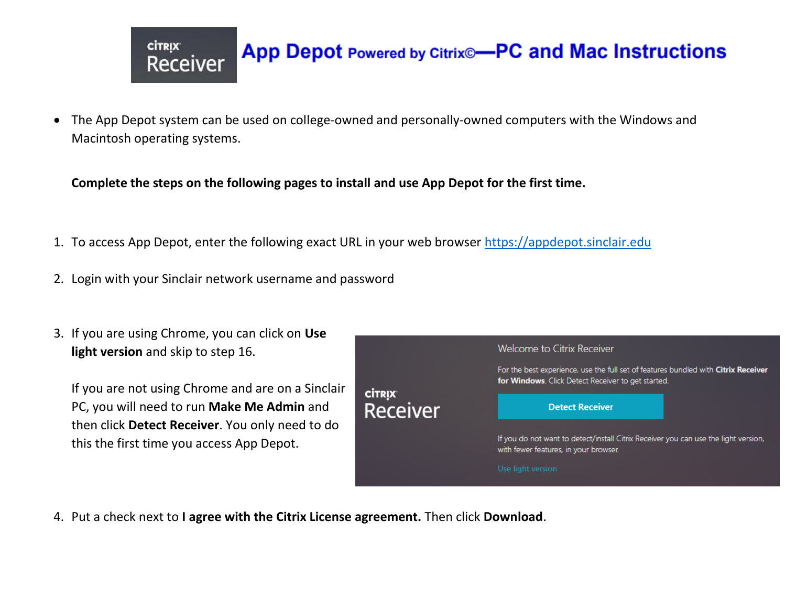

## App Depot Powered by Citrix®-PC and Mac Instructions

 The App Depot system can be used on college-owned and personally-owned computers with the Windows and Macintosh operating systems.

**Complete the steps on the following pages to install and use App Depot for the first time.** 

- 1. To access App Depot, enter the following exact URL in your web browser [https://appdepot.sinclair.edu](https://appdepot.sinclair.edu/)
- 2. Login with your Sinclair network username and password
- 3. If you are using Chrome, you can click on **Use light version** and skip to step 16.

If you are not using Chrome and are on a Sinclair PC, you will need to run **Make Me Admin** and then click **Detect Receiver**. You only need to do this the first time you access App Depot.

| <b>CİTRIX</b><br><b>Receiver</b> | Welcome to Citrix Receiver                                                                                                               |
|----------------------------------|------------------------------------------------------------------------------------------------------------------------------------------|
|                                  | For the best experience, use the full set of features bundled with Citrix Receiver<br>for Windows. Click Detect Receiver to get started. |
|                                  | <b>Detect Receiver</b>                                                                                                                   |
|                                  | If you do not want to detect/install Citrix Receiver you can use the light version,<br>with fewer features, in your browser.             |
|                                  | Use light version                                                                                                                        |

4. Put a check next to **I agree with the Citrix License agreement.** Then click **Download**.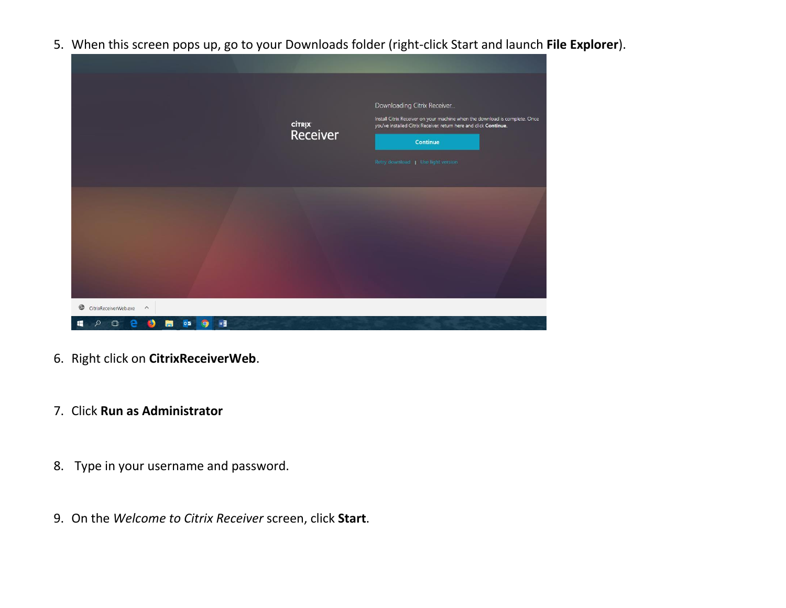5. When this screen pops up, go to your Downloads folder (right-click Start and launch **File Explorer**).



- 6. Right click on **CitrixReceiverWeb**.
- 7. Click **Run as Administrator**
- 8. Type in your username and password.
- 9. On the *Welcome to Citrix Receiver* screen, click **Start**.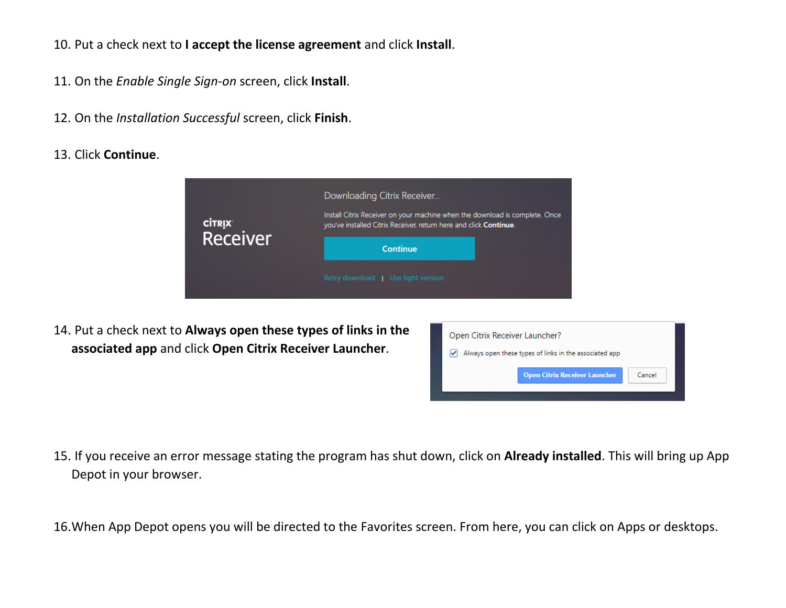- 10. Put a check next to **I accept the license agreement** and click **Install**.
- 11. On the *Enable Single Sign-on* screen, click **Install**.
- 12. On the *Installation Successful* screen, click **Finish**.
- 13. Click **Continue**.

| <sup>citrix</sup><br>Receiver | Downloading Citrix Receiver<br>Install Citrix Receiver on your machine when the download is complete. Once<br>you've installed Citrix Receiver, return here and click Continue. |  |
|-------------------------------|---------------------------------------------------------------------------------------------------------------------------------------------------------------------------------|--|
|                               | Continue                                                                                                                                                                        |  |
|                               | Retry download   Use light version                                                                                                                                              |  |

14. Put a check next to **Always open these types of links in the associated app** and click **Open Citrix Receiver Launcher**.



- 15. If you receive an error message stating the program has shut down, click on **Already installed**. This will bring up App Depot in your browser.
- 16.When App Depot opens you will be directed to the Favorites screen. From here, you can click on Apps or desktops.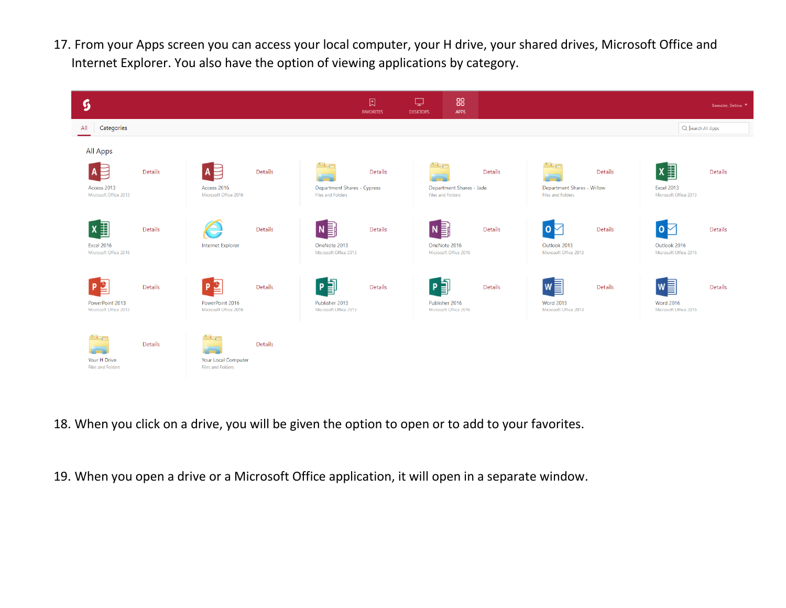17. From your Apps screen you can access your local computer, your H drive, your shared drives, Microsoft Office and Internet Explorer. You also have the option of viewing applications by category.



- 18. When you click on a drive, you will be given the option to open or to add to your favorites.
- 19. When you open a drive or a Microsoft Office application, it will open in a separate window.